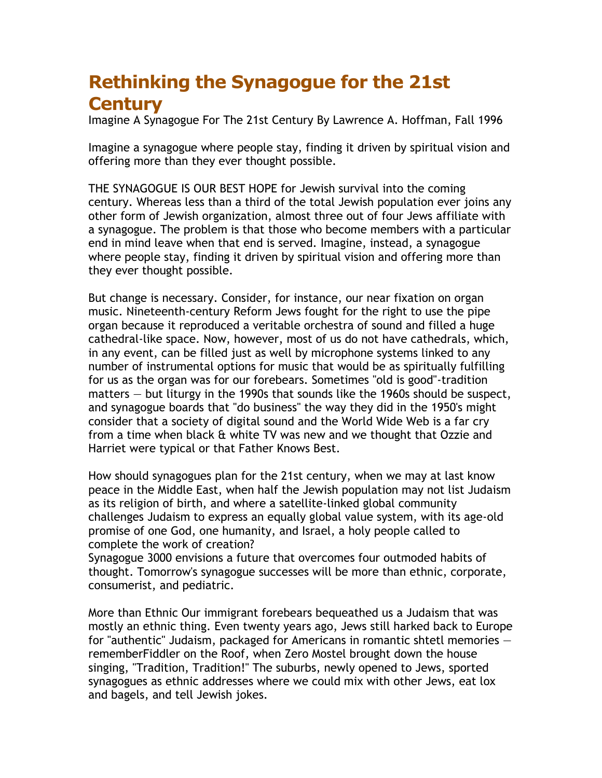## **Rethinking the Synagogue for the 21st Century**

Imagine A Synagogue For The 21st Century By Lawrence A. Hoffman, Fall 1996

Imagine a synagogue where people stay, finding it driven by spiritual vision and offering more than they ever thought possible.

THE SYNAGOGUE IS OUR BEST HOPE for Jewish survival into the coming century. Whereas less than a third of the total Jewish population ever joins any other form of Jewish organization, almost three out of four Jews affiliate with a synagogue. The problem is that those who become members with a particular end in mind leave when that end is served. Imagine, instead, a synagogue where people stay, finding it driven by spiritual vision and offering more than they ever thought possible.

But change is necessary. Consider, for instance, our near fixation on organ music. Nineteenth-century Reform Jews fought for the right to use the pipe organ because it reproduced a veritable orchestra of sound and filled a huge cathedral-like space. Now, however, most of us do not have cathedrals, which, in any event, can be filled just as well by microphone systems linked to any number of instrumental options for music that would be as spiritually fulfilling for us as the organ was for our forebears. Sometimes "old is good"-tradition matters — but liturgy in the 1990s that sounds like the 1960s should be suspect, and synagogue boards that "do business" the way they did in the 1950's might consider that a society of digital sound and the World Wide Web is a far cry from a time when black & white TV was new and we thought that Ozzie and Harriet were typical or that Father Knows Best.

How should synagogues plan for the 21st century, when we may at last know peace in the Middle East, when half the Jewish population may not list Judaism as its religion of birth, and where a satellite-linked global community challenges Judaism to express an equally global value system, with its age-old promise of one God, one humanity, and Israel, a holy people called to complete the work of creation?

Synagogue 3000 envisions a future that overcomes four outmoded habits of thought. Tomorrow's synagogue successes will be more than ethnic, corporate, consumerist, and pediatric.

More than Ethnic Our immigrant forebears bequeathed us a Judaism that was mostly an ethnic thing. Even twenty years ago, Jews still harked back to Europe for "authentic" Judaism, packaged for Americans in romantic shtetl memories rememberFiddler on the Roof, when Zero Mostel brought down the house singing, "Tradition, Tradition!" The suburbs, newly opened to Jews, sported synagogues as ethnic addresses where we could mix with other Jews, eat lox and bagels, and tell Jewish jokes.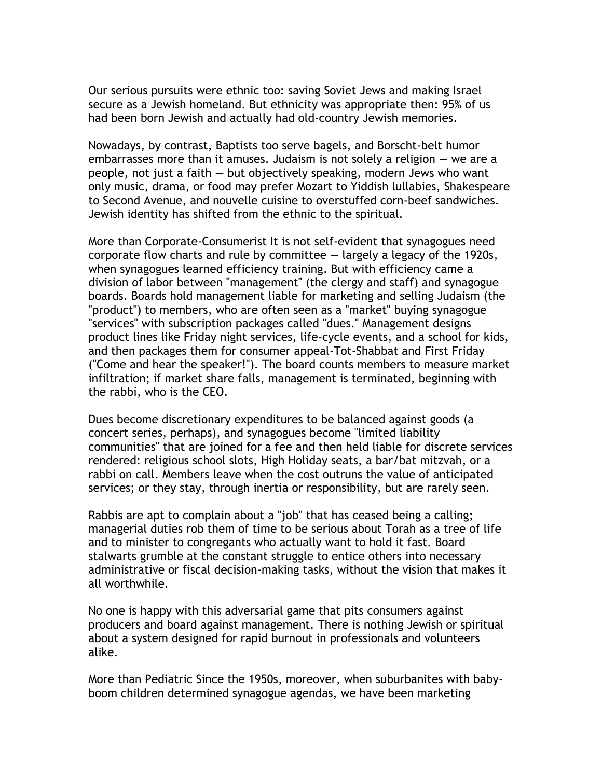Our serious pursuits were ethnic too: saving Soviet Jews and making Israel secure as a Jewish homeland. But ethnicity was appropriate then: 95% of us had been born Jewish and actually had old-country Jewish memories.

Nowadays, by contrast, Baptists too serve bagels, and Borscht-belt humor embarrasses more than it amuses. Judaism is not solely a religion — we are a people, not just a faith — but objectively speaking, modern Jews who want only music, drama, or food may prefer Mozart to Yiddish lullabies, Shakespeare to Second Avenue, and nouvelle cuisine to overstuffed corn-beef sandwiches. Jewish identity has shifted from the ethnic to the spiritual.

More than Corporate-Consumerist It is not self-evident that synagogues need corporate flow charts and rule by committee  $-$  largely a legacy of the 1920s, when synagogues learned efficiency training. But with efficiency came a division of labor between "management" (the clergy and staff) and synagogue boards. Boards hold management liable for marketing and selling Judaism (the "product") to members, who are often seen as a "market" buying synagogue "services" with subscription packages called "dues." Management designs product lines like Friday night services, life-cycle events, and a school for kids, and then packages them for consumer appeal-Tot-Shabbat and First Friday ("Come and hear the speaker!"). The board counts members to measure market infiltration; if market share falls, management is terminated, beginning with the rabbi, who is the CEO.

Dues become discretionary expenditures to be balanced against goods (a concert series, perhaps), and synagogues become "limited liability communities" that are joined for a fee and then held liable for discrete services rendered: religious school slots, High Holiday seats, a bar/bat mitzvah, or a rabbi on call. Members leave when the cost outruns the value of anticipated services; or they stay, through inertia or responsibility, but are rarely seen.

Rabbis are apt to complain about a "job" that has ceased being a calling; managerial duties rob them of time to be serious about Torah as a tree of life and to minister to congregants who actually want to hold it fast. Board stalwarts grumble at the constant struggle to entice others into necessary administrative or fiscal decision-making tasks, without the vision that makes it all worthwhile.

No one is happy with this adversarial game that pits consumers against producers and board against management. There is nothing Jewish or spiritual about a system designed for rapid burnout in professionals and volunteers alike.

More than Pediatric Since the 1950s, moreover, when suburbanites with babyboom children determined synagogue agendas, we have been marketing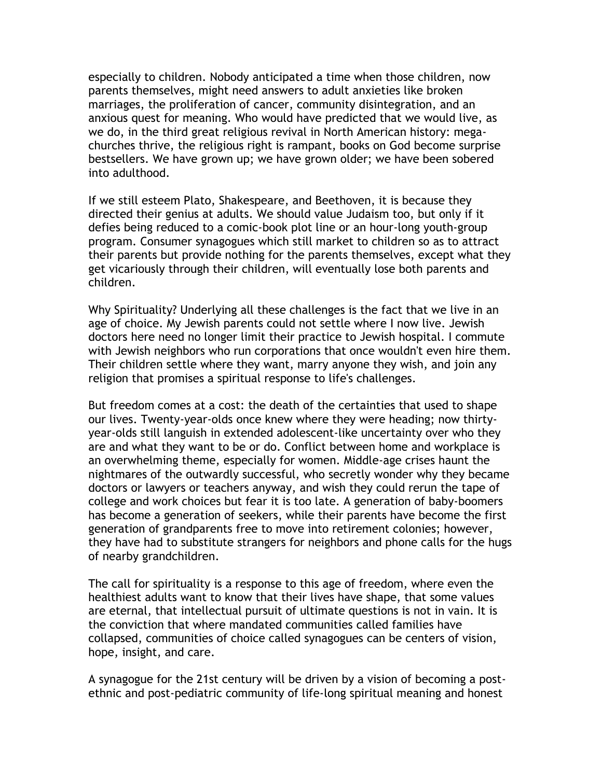especially to children. Nobody anticipated a time when those children, now parents themselves, might need answers to adult anxieties like broken marriages, the proliferation of cancer, community disintegration, and an anxious quest for meaning. Who would have predicted that we would live, as we do, in the third great religious revival in North American history: megachurches thrive, the religious right is rampant, books on God become surprise bestsellers. We have grown up; we have grown older; we have been sobered into adulthood.

If we still esteem Plato, Shakespeare, and Beethoven, it is because they directed their genius at adults. We should value Judaism too, but only if it defies being reduced to a comic-book plot line or an hour-long youth-group program. Consumer synagogues which still market to children so as to attract their parents but provide nothing for the parents themselves, except what they get vicariously through their children, will eventually lose both parents and children.

Why Spirituality? Underlying all these challenges is the fact that we live in an age of choice. My Jewish parents could not settle where I now live. Jewish doctors here need no longer limit their practice to Jewish hospital. I commute with Jewish neighbors who run corporations that once wouldn't even hire them. Their children settle where they want, marry anyone they wish, and join any religion that promises a spiritual response to life's challenges.

But freedom comes at a cost: the death of the certainties that used to shape our lives. Twenty-year-olds once knew where they were heading; now thirtyyear-olds still languish in extended adolescent-like uncertainty over who they are and what they want to be or do. Conflict between home and workplace is an overwhelming theme, especially for women. Middle-age crises haunt the nightmares of the outwardly successful, who secretly wonder why they became doctors or lawyers or teachers anyway, and wish they could rerun the tape of college and work choices but fear it is too late. A generation of baby-boomers has become a generation of seekers, while their parents have become the first generation of grandparents free to move into retirement colonies; however, they have had to substitute strangers for neighbors and phone calls for the hugs of nearby grandchildren.

The call for spirituality is a response to this age of freedom, where even the healthiest adults want to know that their lives have shape, that some values are eternal, that intellectual pursuit of ultimate questions is not in vain. It is the conviction that where mandated communities called families have collapsed, communities of choice called synagogues can be centers of vision, hope, insight, and care.

A synagogue for the 21st century will be driven by a vision of becoming a postethnic and post-pediatric community of life-long spiritual meaning and honest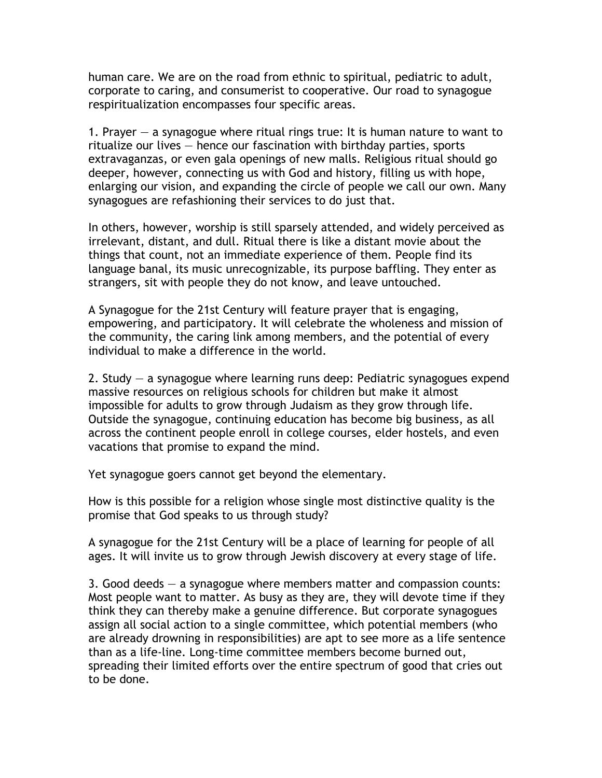human care. We are on the road from ethnic to spiritual, pediatric to adult, corporate to caring, and consumerist to cooperative. Our road to synagogue respiritualization encompasses four specific areas.

1. Prayer — a synagogue where ritual rings true: It is human nature to want to ritualize our lives — hence our fascination with birthday parties, sports extravaganzas, or even gala openings of new malls. Religious ritual should go deeper, however, connecting us with God and history, filling us with hope, enlarging our vision, and expanding the circle of people we call our own. Many synagogues are refashioning their services to do just that.

In others, however, worship is still sparsely attended, and widely perceived as irrelevant, distant, and dull. Ritual there is like a distant movie about the things that count, not an immediate experience of them. People find its language banal, its music unrecognizable, its purpose baffling. They enter as strangers, sit with people they do not know, and leave untouched.

A Synagogue for the 21st Century will feature prayer that is engaging, empowering, and participatory. It will celebrate the wholeness and mission of the community, the caring link among members, and the potential of every individual to make a difference in the world.

2. Study — a synagogue where learning runs deep: Pediatric synagogues expend massive resources on religious schools for children but make it almost impossible for adults to grow through Judaism as they grow through life. Outside the synagogue, continuing education has become big business, as all across the continent people enroll in college courses, elder hostels, and even vacations that promise to expand the mind.

Yet synagogue goers cannot get beyond the elementary.

How is this possible for a religion whose single most distinctive quality is the promise that God speaks to us through study?

A synagogue for the 21st Century will be a place of learning for people of all ages. It will invite us to grow through Jewish discovery at every stage of life.

3. Good deeds — a synagogue where members matter and compassion counts: Most people want to matter. As busy as they are, they will devote time if they think they can thereby make a genuine difference. But corporate synagogues assign all social action to a single committee, which potential members (who are already drowning in responsibilities) are apt to see more as a life sentence than as a life-line. Long-time committee members become burned out, spreading their limited efforts over the entire spectrum of good that cries out to be done.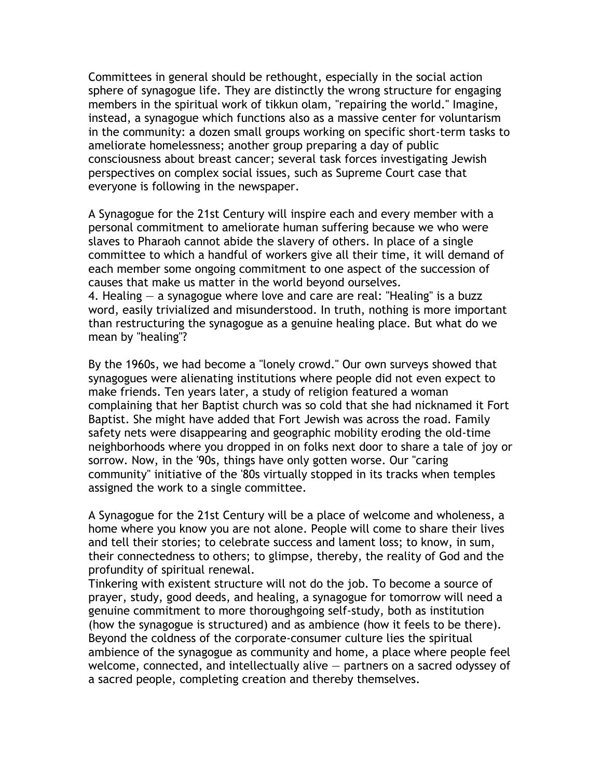Committees in general should be rethought, especially in the social action sphere of synagogue life. They are distinctly the wrong structure for engaging members in the spiritual work of tikkun olam, "repairing the world." Imagine, instead, a synagogue which functions also as a massive center for voluntarism in the community: a dozen small groups working on specific short-term tasks to ameliorate homelessness; another group preparing a day of public consciousness about breast cancer; several task forces investigating Jewish perspectives on complex social issues, such as Supreme Court case that everyone is following in the newspaper.

A Synagogue for the 21st Century will inspire each and every member with a personal commitment to ameliorate human suffering because we who were slaves to Pharaoh cannot abide the slavery of others. In place of a single committee to which a handful of workers give all their time, it will demand of each member some ongoing commitment to one aspect of the succession of causes that make us matter in the world beyond ourselves.

4. Healing — a synagogue where love and care are real: "Healing" is a buzz word, easily trivialized and misunderstood. In truth, nothing is more important than restructuring the synagogue as a genuine healing place. But what do we mean by "healing"?

By the 1960s, we had become a "lonely crowd." Our own surveys showed that synagogues were alienating institutions where people did not even expect to make friends. Ten years later, a study of religion featured a woman complaining that her Baptist church was so cold that she had nicknamed it Fort Baptist. She might have added that Fort Jewish was across the road. Family safety nets were disappearing and geographic mobility eroding the old-time neighborhoods where you dropped in on folks next door to share a tale of joy or sorrow. Now, in the '90s, things have only gotten worse. Our "caring community" initiative of the '80s virtually stopped in its tracks when temples assigned the work to a single committee.

A Synagogue for the 21st Century will be a place of welcome and wholeness, a home where you know you are not alone. People will come to share their lives and tell their stories; to celebrate success and lament loss; to know, in sum, their connectedness to others; to glimpse, thereby, the reality of God and the profundity of spiritual renewal.

Tinkering with existent structure will not do the job. To become a source of prayer, study, good deeds, and healing, a synagogue for tomorrow will need a genuine commitment to more thoroughgoing self-study, both as institution (how the synagogue is structured) and as ambience (how it feels to be there). Beyond the coldness of the corporate-consumer culture lies the spiritual ambience of the synagogue as community and home, a place where people feel welcome, connected, and intellectually alive — partners on a sacred odyssey of a sacred people, completing creation and thereby themselves.